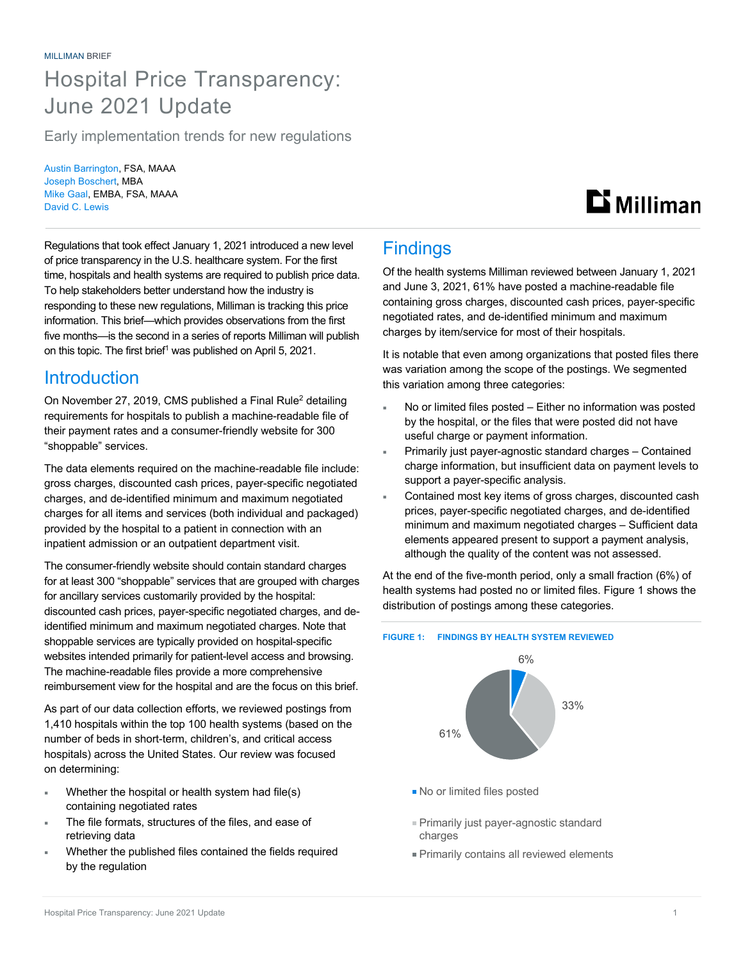## Hospital Price Transparency: June 2021 Update

Early implementation trends for new regulations

Austin Barrington, FSA, MAAA Joseph Boschert, MBA Mike Gaal, EMBA, FSA, MAAA David C. Lewis

# $\mathbf{D}$  Milliman

Regulations that took effect January 1, 2021 introduced a new level of price transparency in the U.S. healthcare system. For the first time, hospitals and health systems are required to publish price data. To help stakeholders better understand how the industry is responding to these new regulations, Milliman is tracking this price information. This brief—which provides observations from the first five months—is the second in a series of reports Milliman will publish on this topic. The first brief<sup>1</sup> was published on April 5, 2021.

### **Introduction**

On November 27, 2019, CMS published a Final Rule<sup>2</sup> detailing requirements for hospitals to publish a machine-readable file of their payment rates and a consumer-friendly website for 300 "shoppable" services.

The data elements required on the machine-readable file include: gross charges, discounted cash prices, payer-specific negotiated charges, and de-identified minimum and maximum negotiated charges for all items and services (both individual and packaged) provided by the hospital to a patient in connection with an inpatient admission or an outpatient department visit.

The consumer-friendly website should contain standard charges for at least 300 "shoppable" services that are grouped with charges for ancillary services customarily provided by the hospital: discounted cash prices, payer-specific negotiated charges, and deidentified minimum and maximum negotiated charges. Note that shoppable services are typically provided on hospital-specific websites intended primarily for patient-level access and browsing. The machine-readable files provide a more comprehensive reimbursement view for the hospital and are the focus on this brief.

As part of our data collection efforts, we reviewed postings from 1,410 hospitals within the top 100 health systems (based on the number of beds in short-term, children's, and critical access hospitals) across the United States. Our review was focused on determining:

- Whether the hospital or health system had file(s) containing negotiated rates
- The file formats, structures of the files, and ease of retrieving data
- Whether the published files contained the fields required by the regulation

## **Findings**

Of the health systems Milliman reviewed between January 1, 2021 and June 3, 2021, 61% have posted a machine-readable file containing gross charges, discounted cash prices, payer-specific negotiated rates, and de-identified minimum and maximum charges by item/service for most of their hospitals.

It is notable that even among organizations that posted files there was variation among the scope of the postings. We segmented this variation among three categories:

- No or limited files posted Either no information was posted by the hospital, or the files that were posted did not have useful charge or payment information.
- Primarily just payer-agnostic standard charges Contained charge information, but insufficient data on payment levels to support a payer-specific analysis.
- Contained most key items of gross charges, discounted cash prices, payer-specific negotiated charges, and de-identified minimum and maximum negotiated charges – Sufficient data elements appeared present to support a payment analysis, although the quality of the content was not assessed.

At the end of the five-month period, only a small fraction (6%) of health systems had posted no or limited files. Figure 1 shows the distribution of postings among these categories.

#### **FIGURE 1: FINDINGS BY HEALTH SYSTEM REVIEWED**



- No or limited files posted
- Primarily just payer-agnostic standard charges
- Primarily contains all reviewed elements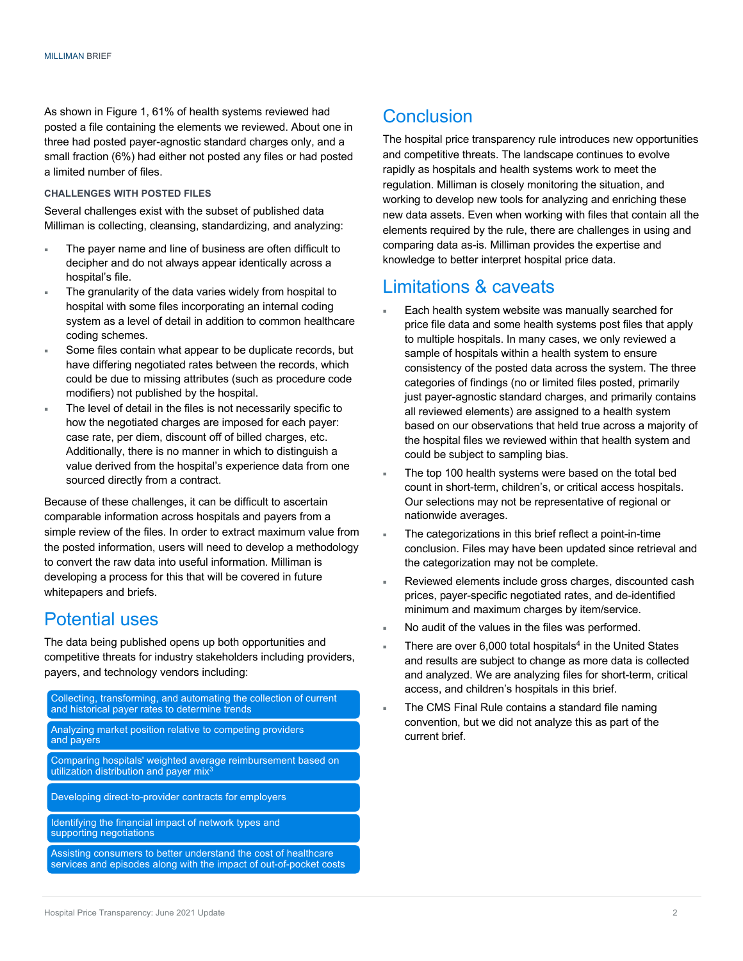As shown in Figure 1, 61% of health systems reviewed had posted a file containing the elements we reviewed. About one in three had posted payer-agnostic standard charges only, and a small fraction (6%) had either not posted any files or had posted a limited number of files.

#### **CHALLENGES WITH POSTED FILES**

Several challenges exist with the subset of published data Milliman is collecting, cleansing, standardizing, and analyzing:

- ¡ The payer name and line of business are often difficult to decipher and do not always appear identically across a hospital's file.
- The granularity of the data varies widely from hospital to hospital with some files incorporating an internal coding system as a level of detail in addition to common healthcare coding schemes.
- Some files contain what appear to be duplicate records, but have differing negotiated rates between the records, which could be due to missing attributes (such as procedure code modifiers) not published by the hospital.
- The level of detail in the files is not necessarily specific to how the negotiated charges are imposed for each payer: case rate, per diem, discount off of billed charges, etc. Additionally, there is no manner in which to distinguish a value derived from the hospital's experience data from one sourced directly from a contract.

Because of these challenges, it can be difficult to ascertain comparable information across hospitals and payers from a simple review of the files. In order to extract maximum value from the posted information, users will need to develop a methodology to convert the raw data into useful information. Milliman is developing a process for this that will be covered in future whitepapers and briefs.

#### Potential uses

The data being published opens up both opportunities and competitive threats for industry stakeholders including providers, payers, and technology vendors including:

Collecting, transforming, and automating the collection of current and historical payer rates to determine trends

Analyzing market position relative to competing providers and payers

Comparing hospitals' weighted average reimbursement based on utilization distribution and payer mix<sup>3</sup>

Developing direct-to-provider contracts for employers

Identifying the financial impact of network types and supporting negotiations

Assisting consumers to better understand the cost of healthcare services and episodes along with the impact of out-of-pocket costs

### Conclusion

The hospital price transparency rule introduces new opportunities and competitive threats. The landscape continues to evolve rapidly as hospitals and health systems work to meet the regulation. Milliman is closely monitoring the situation, and working to develop new tools for analyzing and enriching these new data assets. Even when working with files that contain all the elements required by the rule, there are challenges in using and comparing data as-is. Milliman provides the expertise and knowledge to better interpret hospital price data.

#### Limitations & caveats

- Each health system website was manually searched for price file data and some health systems post files that apply to multiple hospitals. In many cases, we only reviewed a sample of hospitals within a health system to ensure consistency of the posted data across the system. The three categories of findings (no or limited files posted, primarily just payer-agnostic standard charges, and primarily contains all reviewed elements) are assigned to a health system based on our observations that held true across a majority of the hospital files we reviewed within that health system and could be subject to sampling bias.
- The top 100 health systems were based on the total bed count in short-term, children's, or critical access hospitals. Our selections may not be representative of regional or nationwide averages.
- The categorizations in this brief reflect a point-in-time conclusion. Files may have been updated since retrieval and the categorization may not be complete.
- Reviewed elements include gross charges, discounted cash prices, payer-specific negotiated rates, and de-identified minimum and maximum charges by item/service.
- No audit of the values in the files was performed.
- There are over  $6,000$  total hospitals<sup>4</sup> in the United States and results are subject to change as more data is collected and analyzed. We are analyzing files for short-term, critical access, and children's hospitals in this brief.
- The CMS Final Rule contains a standard file naming convention, but we did not analyze this as part of the current brief.